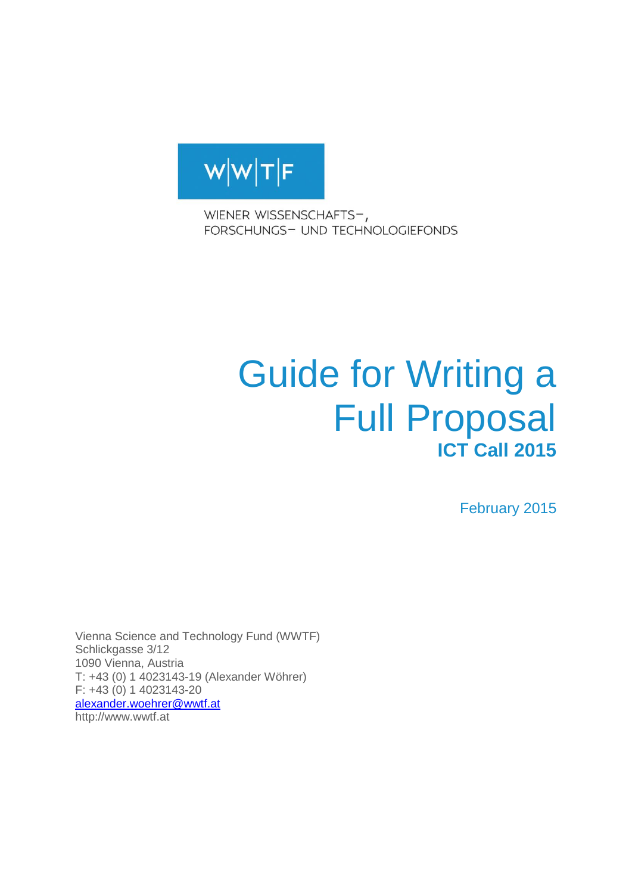

WIENER WISSENSCHAFTS-, FORSCHUNGS- UND TECHNOLOGIEFONDS

# Guide for Writing a Full Proposal **ICT Call 2015**

February 2015

Vienna Science and Technology Fund (WWTF) Schlickgasse 3/12 1090 Vienna, Austria T: +43 (0) 1 4023143-19 (Alexander Wöhrer) F: +43 (0) 1 4023143-20 [alexander.woehrer@wwtf.at](mailto:alexander.woehrer@wwtf.at) http://www.wwtf.at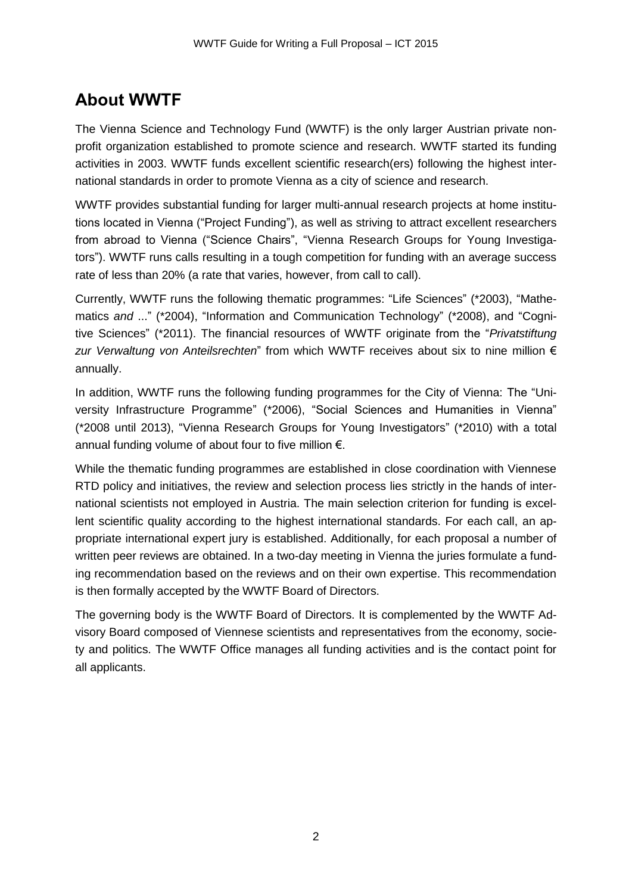# **About WWTF**

The Vienna Science and Technology Fund (WWTF) is the only larger Austrian private nonprofit organization established to promote science and research. WWTF started its funding activities in 2003. WWTF funds excellent scientific research(ers) following the highest international standards in order to promote Vienna as a city of science and research.

WWTF provides substantial funding for larger multi-annual research projects at home institutions located in Vienna ("Project Funding"), as well as striving to attract excellent researchers from abroad to Vienna ("Science Chairs", "Vienna Research Groups for Young Investigators"). WWTF runs calls resulting in a tough competition for funding with an average success rate of less than 20% (a rate that varies, however, from call to call).

Currently, WWTF runs the following thematic programmes: "Life Sciences" (\*2003), "Mathematics *and* ..." (\*2004), "Information and Communication Technology" (\*2008), and "Cognitive Sciences" (\*2011). The financial resources of WWTF originate from the "*Privatstiftung zur Verwaltung von Anteilsrechten*" from which WWTF receives about six to nine million € annually.

In addition, WWTF runs the following funding programmes for the City of Vienna: The "University Infrastructure Programme" (\*2006), "Social Sciences and Humanities in Vienna" (\*2008 until 2013), "Vienna Research Groups for Young Investigators" (\*2010) with a total annual funding volume of about four to five million  $\epsilon$ .

While the thematic funding programmes are established in close coordination with Viennese RTD policy and initiatives, the review and selection process lies strictly in the hands of international scientists not employed in Austria. The main selection criterion for funding is excellent scientific quality according to the highest international standards. For each call, an appropriate international expert jury is established. Additionally, for each proposal a number of written peer reviews are obtained. In a two-day meeting in Vienna the juries formulate a funding recommendation based on the reviews and on their own expertise. This recommendation is then formally accepted by the WWTF Board of Directors.

The governing body is the WWTF Board of Directors. It is complemented by the WWTF Advisory Board composed of Viennese scientists and representatives from the economy, society and politics. The WWTF Office manages all funding activities and is the contact point for all applicants.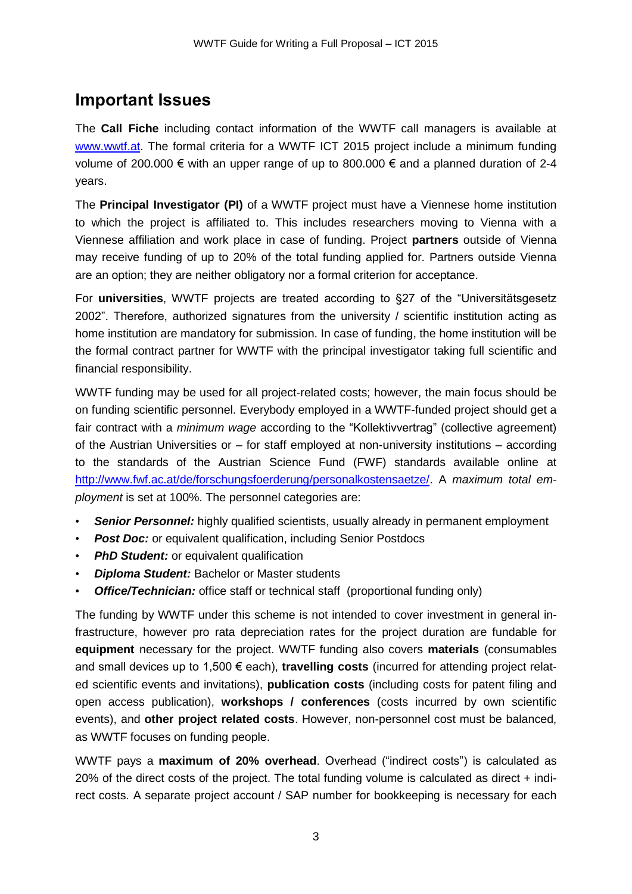# **Important Issues**

The **Call Fiche** including contact information of the WWTF call managers is available at [www.wwtf.at.](http://www.wwtf.at/) The formal criteria for a WWTF ICT 2015 project include a minimum funding volume of 200.000 € with an upper range of up to 800.000 € and a planned duration of 2-4 years.

The **Principal Investigator (PI)** of a WWTF project must have a Viennese home institution to which the project is affiliated to. This includes researchers moving to Vienna with a Viennese affiliation and work place in case of funding. Project **partners** outside of Vienna may receive funding of up to 20% of the total funding applied for. Partners outside Vienna are an option; they are neither obligatory nor a formal criterion for acceptance.

For **universities**, WWTF projects are treated according to §27 of the "Universitätsgesetz 2002". Therefore, authorized signatures from the university / scientific institution acting as home institution are mandatory for submission. In case of funding, the home institution will be the formal contract partner for WWTF with the principal investigator taking full scientific and financial responsibility.

WWTF funding may be used for all project-related costs; however, the main focus should be on funding scientific personnel. Everybody employed in a WWTF-funded project should get a fair contract with a *minimum wage* according to the "Kollektivvertrag" (collective agreement) of the Austrian Universities or – for staff employed at non-university institutions – according to the standards of the Austrian Science Fund (FWF) standards available online at [http://www.fwf.ac.at/de/forschungsfoerderung/personalkostensaetze/.](http://www.fwf.ac.at/de/forschungsfoerderung/personalkostensaetze/) A *maximum total employment* is set at 100%. The personnel categories are:

- **Senior Personnel:** highly qualified scientists, usually already in permanent employment
- *Post Doc:* or equivalent qualification, including Senior Postdocs
- *PhD Student:* or equivalent qualification
- *Diploma Student:* Bachelor or Master students
- *Office/Technician:* office staff or technical staff (proportional funding only)

The funding by WWTF under this scheme is not intended to cover investment in general infrastructure, however pro rata depreciation rates for the project duration are fundable for **equipment** necessary for the project. WWTF funding also covers **materials** (consumables and small devices up to 1,500 € each), **travelling costs** (incurred for attending project related scientific events and invitations), **publication costs** (including costs for patent filing and open access publication), **workshops / conferences** (costs incurred by own scientific events), and **other project related costs**. However, non-personnel cost must be balanced, as WWTF focuses on funding people.

WWTF pays a **maximum of 20% overhead**. Overhead ("indirect costs") is calculated as 20% of the direct costs of the project. The total funding volume is calculated as direct + indirect costs. A separate project account / SAP number for bookkeeping is necessary for each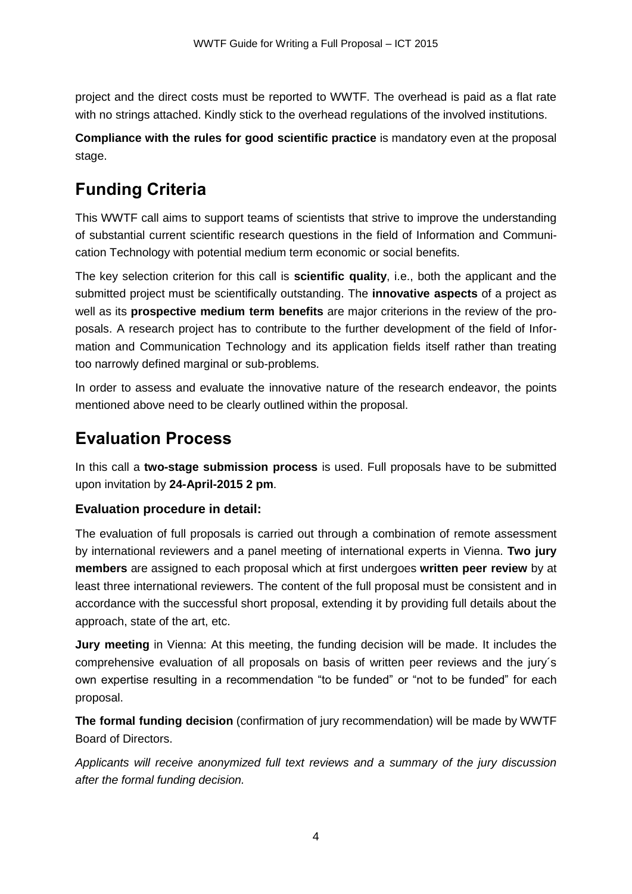project and the direct costs must be reported to WWTF. The overhead is paid as a flat rate with no strings attached. Kindly stick to the overhead regulations of the involved institutions.

**Compliance with the rules for good scientific practice** is mandatory even at the proposal stage.

# **Funding Criteria**

This WWTF call aims to support teams of scientists that strive to improve the understanding of substantial current scientific research questions in the field of Information and Communication Technology with potential medium term economic or social benefits.

The key selection criterion for this call is **scientific quality**, i.e., both the applicant and the submitted project must be scientifically outstanding. The **innovative aspects** of a project as well as its **prospective medium term benefits** are major criterions in the review of the proposals. A research project has to contribute to the further development of the field of Information and Communication Technology and its application fields itself rather than treating too narrowly defined marginal or sub-problems.

In order to assess and evaluate the innovative nature of the research endeavor, the points mentioned above need to be clearly outlined within the proposal.

# **Evaluation Process**

In this call a **two-stage submission process** is used. Full proposals have to be submitted upon invitation by **24-April-2015 2 pm**.

# **Evaluation procedure in detail:**

The evaluation of full proposals is carried out through a combination of remote assessment by international reviewers and a panel meeting of international experts in Vienna. **Two jury members** are assigned to each proposal which at first undergoes **written peer review** by at least three international reviewers. The content of the full proposal must be consistent and in accordance with the successful short proposal, extending it by providing full details about the approach, state of the art, etc.

**Jury meeting** in Vienna: At this meeting, the funding decision will be made. It includes the comprehensive evaluation of all proposals on basis of written peer reviews and the jury´s own expertise resulting in a recommendation "to be funded" or "not to be funded" for each proposal.

**The formal funding decision** (confirmation of jury recommendation) will be made by WWTF Board of Directors.

*Applicants will receive anonymized full text reviews and a summary of the jury discussion after the formal funding decision.*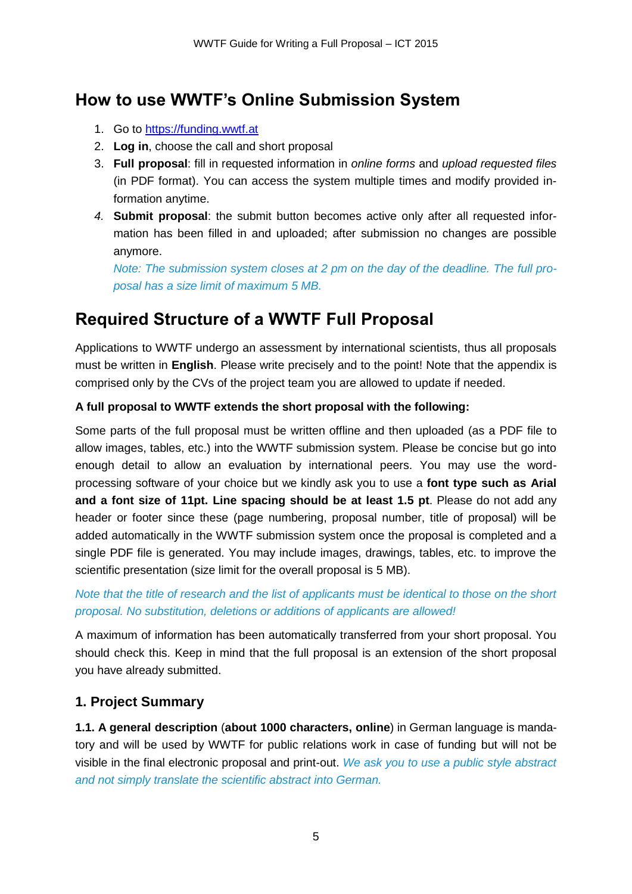# **How to use WWTF's Online Submission System**

- 1. Go to [https://funding.wwtf.at](https://funding.wwtf.at/)
- 2. **Log in**, choose the call and short proposal
- 3. **Full proposal**: fill in requested information in *online forms* and *upload requested files* (in PDF format). You can access the system multiple times and modify provided information anytime.
- *4.* **Submit proposal**: the submit button becomes active only after all requested information has been filled in and uploaded; after submission no changes are possible anymore.

*Note: The submission system closes at 2 pm on the day of the deadline. The full proposal has a size limit of maximum 5 MB.*

# **Required Structure of a WWTF Full Proposal**

Applications to WWTF undergo an assessment by international scientists, thus all proposals must be written in **English**. Please write precisely and to the point! Note that the appendix is comprised only by the CVs of the project team you are allowed to update if needed.

## **A full proposal to WWTF extends the short proposal with the following:**

Some parts of the full proposal must be written offline and then uploaded (as a PDF file to allow images, tables, etc.) into the WWTF submission system. Please be concise but go into enough detail to allow an evaluation by international peers. You may use the wordprocessing software of your choice but we kindly ask you to use a **font type such as Arial and a font size of 11pt. Line spacing should be at least 1.5 pt**. Please do not add any header or footer since these (page numbering, proposal number, title of proposal) will be added automatically in the WWTF submission system once the proposal is completed and a single PDF file is generated. You may include images, drawings, tables, etc. to improve the scientific presentation (size limit for the overall proposal is 5 MB).

## *Note that the title of research and the list of applicants must be identical to those on the short proposal. No substitution, deletions or additions of applicants are allowed!*

A maximum of information has been automatically transferred from your short proposal. You should check this. Keep in mind that the full proposal is an extension of the short proposal you have already submitted.

# **1. Project Summary**

**1.1. A general description** (**about 1000 characters, online**) in German language is mandatory and will be used by WWTF for public relations work in case of funding but will not be visible in the final electronic proposal and print-out. *We ask you to use a public style abstract and not simply translate the scientific abstract into German.*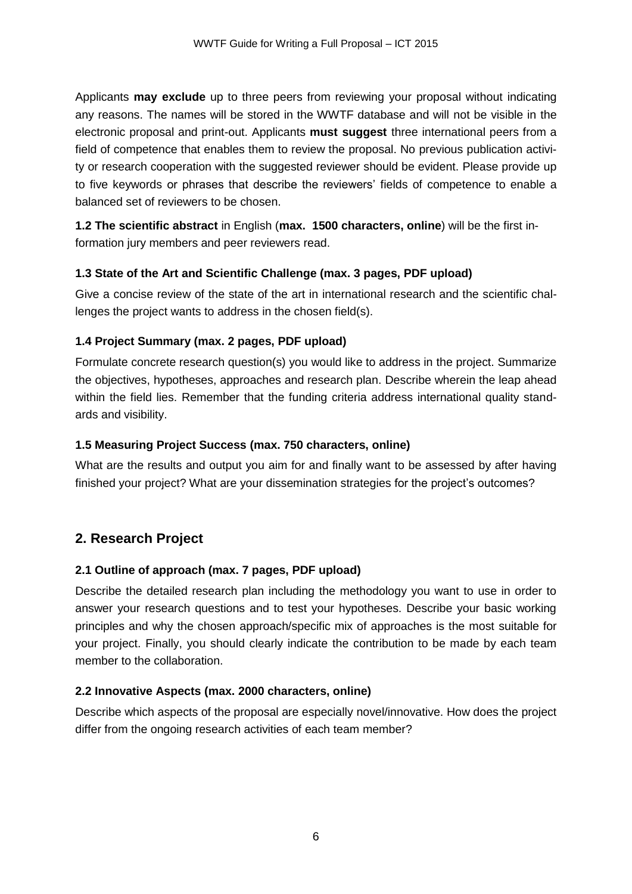Applicants **may exclude** up to three peers from reviewing your proposal without indicating any reasons. The names will be stored in the WWTF database and will not be visible in the electronic proposal and print-out. Applicants **must suggest** three international peers from a field of competence that enables them to review the proposal. No previous publication activity or research cooperation with the suggested reviewer should be evident. Please provide up to five keywords or phrases that describe the reviewers' fields of competence to enable a balanced set of reviewers to be chosen.

**1.2 The scientific abstract** in English (**max. 1500 characters, online**) will be the first information jury members and peer reviewers read.

## **1.3 State of the Art and Scientific Challenge (max. 3 pages, PDF upload)**

Give a concise review of the state of the art in international research and the scientific challenges the project wants to address in the chosen field(s).

## **1.4 Project Summary (max. 2 pages, PDF upload)**

Formulate concrete research question(s) you would like to address in the project. Summarize the objectives, hypotheses, approaches and research plan. Describe wherein the leap ahead within the field lies. Remember that the funding criteria address international quality standards and visibility.

#### **1.5 Measuring Project Success (max. 750 characters, online)**

What are the results and output you aim for and finally want to be assessed by after having finished your project? What are your dissemination strategies for the project's outcomes?

# **2. Research Project**

#### **2.1 Outline of approach (max. 7 pages, PDF upload)**

Describe the detailed research plan including the methodology you want to use in order to answer your research questions and to test your hypotheses. Describe your basic working principles and why the chosen approach/specific mix of approaches is the most suitable for your project. Finally, you should clearly indicate the contribution to be made by each team member to the collaboration.

#### **2.2 Innovative Aspects (max. 2000 characters, online)**

Describe which aspects of the proposal are especially novel/innovative. How does the project differ from the ongoing research activities of each team member?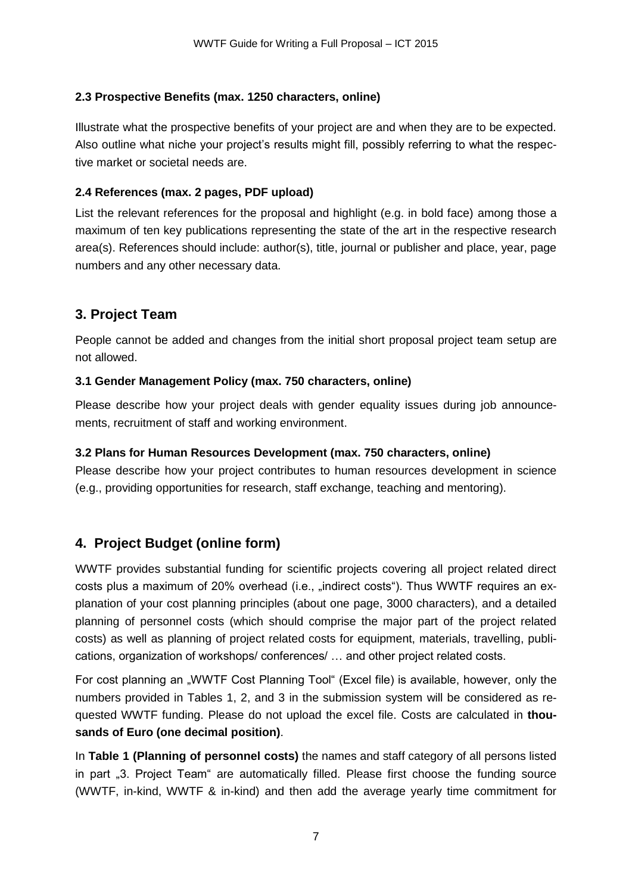## **2.3 Prospective Benefits (max. 1250 characters, online)**

Illustrate what the prospective benefits of your project are and when they are to be expected. Also outline what niche your project's results might fill, possibly referring to what the respective market or societal needs are.

#### **2.4 References (max. 2 pages, PDF upload)**

List the relevant references for the proposal and highlight (e.g. in bold face) among those a maximum of ten key publications representing the state of the art in the respective research area(s). References should include: author(s), title, journal or publisher and place, year, page numbers and any other necessary data.

# **3. Project Team**

People cannot be added and changes from the initial short proposal project team setup are not allowed.

#### **3.1 Gender Management Policy (max. 750 characters, online)**

Please describe how your project deals with gender equality issues during job announcements, recruitment of staff and working environment.

#### **3.2 Plans for Human Resources Development (max. 750 characters, online)**

Please describe how your project contributes to human resources development in science (e.g., providing opportunities for research, staff exchange, teaching and mentoring).

# **4. Project Budget (online form)**

WWTF provides substantial funding for scientific projects covering all project related direct costs plus a maximum of 20% overhead (i.e.,  $\alpha$ , indirect costs"). Thus WWTF requires an explanation of your cost planning principles (about one page, 3000 characters), and a detailed planning of personnel costs (which should comprise the major part of the project related costs) as well as planning of project related costs for equipment, materials, travelling, publications, organization of workshops/ conferences/ … and other project related costs.

For cost planning an "WWTF Cost Planning Tool" (Excel file) is available, however, only the numbers provided in Tables 1, 2, and 3 in the submission system will be considered as requested WWTF funding. Please do not upload the excel file. Costs are calculated in **thousands of Euro (one decimal position)**.

In **Table 1 (Planning of personnel costs)** the names and staff category of all persons listed in part "3. Project Team" are automatically filled. Please first choose the funding source (WWTF, in-kind, WWTF & in-kind) and then add the average yearly time commitment for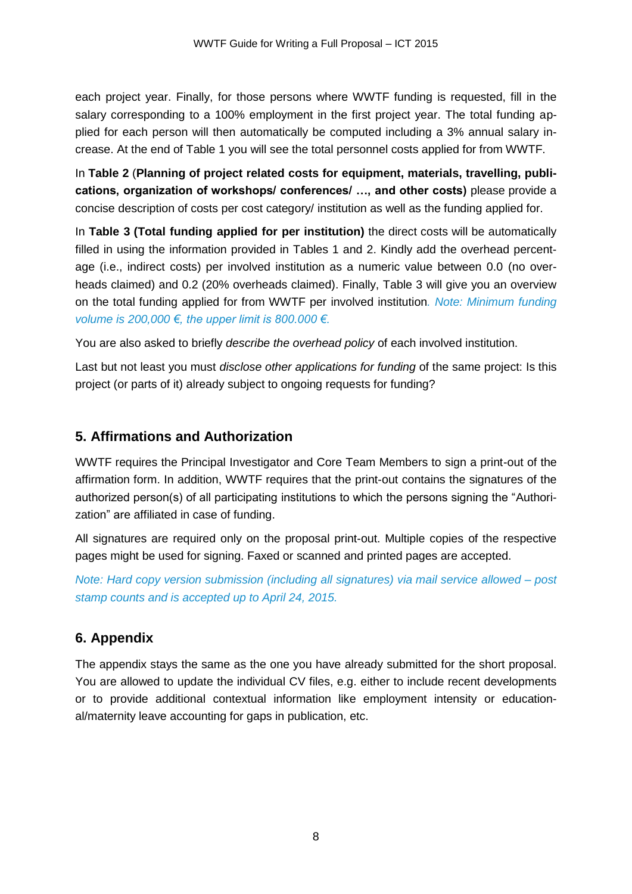each project year. Finally, for those persons where WWTF funding is requested, fill in the salary corresponding to a 100% employment in the first project year. The total funding applied for each person will then automatically be computed including a 3% annual salary increase. At the end of Table 1 you will see the total personnel costs applied for from WWTF.

In **Table 2** (**Planning of project related costs for equipment, materials, travelling, publications, organization of workshops/ conferences/ …, and other costs)** please provide a concise description of costs per cost category/ institution as well as the funding applied for.

In **Table 3 (Total funding applied for per institution)** the direct costs will be automatically filled in using the information provided in Tables 1 and 2. Kindly add the overhead percentage (i.e., indirect costs) per involved institution as a numeric value between 0.0 (no overheads claimed) and 0.2 (20% overheads claimed). Finally, Table 3 will give you an overview on the total funding applied for from WWTF per involved institution*. Note: Minimum funding volume is 200,000 €, the upper limit is 800.000 €.* 

You are also asked to briefly *describe the overhead policy* of each involved institution.

Last but not least you must *disclose other applications for funding* of the same project: Is this project (or parts of it) already subject to ongoing requests for funding?

## **5. Affirmations and Authorization**

WWTF requires the Principal Investigator and Core Team Members to sign a print-out of the affirmation form. In addition, WWTF requires that the print-out contains the signatures of the authorized person(s) of all participating institutions to which the persons signing the "Authorization" are affiliated in case of funding.

All signatures are required only on the proposal print-out. Multiple copies of the respective pages might be used for signing. Faxed or scanned and printed pages are accepted.

*Note: Hard copy version submission (including all signatures) via mail service allowed – post stamp counts and is accepted up to April 24, 2015.*

# **6. Appendix**

The appendix stays the same as the one you have already submitted for the short proposal. You are allowed to update the individual CV files, e.g. either to include recent developments or to provide additional contextual information like employment intensity or educational/maternity leave accounting for gaps in publication, etc.